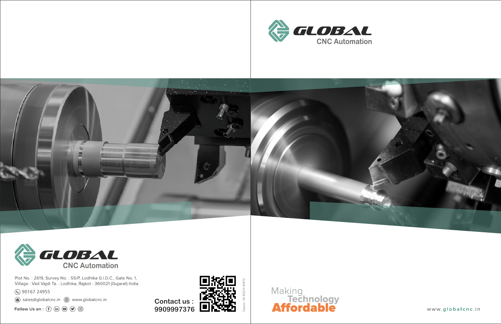





Plot No.: 2619, Survey No.: 55/P, Lodhika G.I.D.C., Gate No. 1, Village: Vad Vajdi Ta.: Lodhika, Rajkot - 360021 (Gujarat) India.

● 90167 24955

sales@globalcnc.in (@) www.globalcnc.in

Follow Us on :  $\circledf$  (in  $\circledcirc$   $\circledcirc$   $\circledcirc$ 

**Contact us : 9909997376**







www.globalcnc.in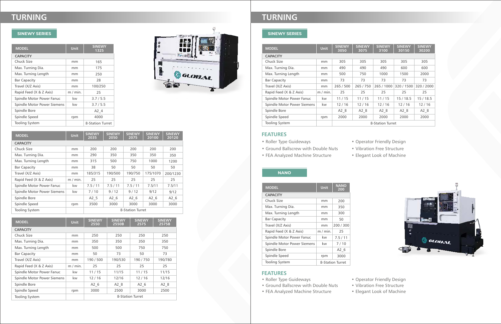| <b>MODEL</b>                | Unit        | <b>SINEWY</b><br>1325   |
|-----------------------------|-------------|-------------------------|
| <b>CAPACITY</b>             |             |                         |
| Chuck Size                  | mm          | 165                     |
| Max. Turning Dia.           | mm          | 175                     |
| Max. Turning Length         | mm          | 250                     |
| <b>Bar Capacity</b>         | mm          | 28                      |
| Travel (X/Z Axis)           | mm          | 100/250                 |
| Rapid Feed (X & Z Axis)     | $m / min$ . | 25                      |
| Spindle Motor Power Fanuc   | kw          | 3.7/5.5                 |
| Spindle Motor Power Siemens | kw          | 3.7/5.5                 |
| Spindle Bore                |             | A2 4                    |
| Spindle Speed               | rpm         | 4000                    |
| <b>Tooling System</b>       |             | <b>8-Station Turret</b> |



| <b>MODEL</b>                | <b>Unit</b> | <b>SINEWY</b><br>2035 | <b>SINEWY</b><br>2050 | <b>SINEWY</b><br>2075 | <b>SINEWY</b><br>20100 | <b>SINEWY</b><br>20120 |
|-----------------------------|-------------|-----------------------|-----------------------|-----------------------|------------------------|------------------------|
| <b>CAPACITY</b>             |             |                       |                       |                       |                        |                        |
| Chuck Size                  | mm          | 200                   | 200                   | 200                   | 200                    | 200                    |
| Max. Turning Dia.           | mm          | 290                   | 350                   | 350                   | 350                    | 350                    |
| Max. Turning Length         | mm          | 315                   | 500                   | 750                   | 1000                   | 1200                   |
| <b>Bar Capacity</b>         | mm          | 38                    | 50                    | 50                    | 50                     | 50                     |
| Travel (X/Z Axis)           | mm          | 185/315               | 190/500               | 190/750               | 175/1070               | 200/1230               |
| Rapid Feed (X & Z Axis)     | $m/m$ in.   | 25                    | 25                    | 25                    | 25                     | 25                     |
| Spindle Motor Power Fanuc   | kw          | 7.5/11                | 7.5/11                | 7.5/11                | 7.5/11                 | 7.5/11                 |
| Spindle Motor Power Siemens | kw          | 7/10                  | 9/12                  | 9/12                  | 9/12                   | 9/12                   |
| Spindle Bore                |             | A2 5                  | A2 6                  | A2 6                  | A2 6                   | A2 6                   |
| Spindle Speed               | rpm         | 3500                  | 3000                  | 3000                  | 3000                   | 3000                   |
| <b>Tooling System</b>       |             |                       | 8-Station Turret      |                       |                        |                        |

# **NANO**

| <b>MODEL</b>                | <b>Unit</b> | <b>SINEWY</b><br>2550 | <b>SINEWY</b><br>2550B | <b>SINEWY</b><br>2575 | <b>SINEWY</b><br>2575B |  |  |
|-----------------------------|-------------|-----------------------|------------------------|-----------------------|------------------------|--|--|
| <b>CAPACITY</b>             |             |                       |                        |                       |                        |  |  |
| Chuck Size                  | mm          | 250                   | 250                    | 250                   | 250                    |  |  |
| Max. Turning Dia.           | mm          | 350                   | 350                    | 350                   | 350                    |  |  |
| Max. Turning Length         | mm          | 500                   | 500                    | 750                   | 750                    |  |  |
| <b>Bar Capacity</b>         | mm          | 50                    | 73                     | 50                    | 73                     |  |  |
| Travel (X/Z Axis)           | mm          | 190 / 500             | 190/530                | 190/750               | 190/780                |  |  |
| Rapid Feed (X & Z Axis)     | $m / min$ . | 25                    | 25                     | 25                    | 25                     |  |  |
| Spindle Motor Power Fanuc   | kw          | 11/15                 | 11/15                  | 11/15                 | 11/15                  |  |  |
| Spindle Motor Power Siemens | kw          | 12/16                 | 12/16                  | 12/16                 | 12/16                  |  |  |
| Spindle Bore                |             | A2 6                  | A2 8                   | A2 <sub>6</sub>       | A2 8                   |  |  |
| Spindle Speed               | rpm         | 3000                  | 2500                   | 3000                  | 2500                   |  |  |
| <b>Tooling System</b>       |             | 8-Station Turret      |                        |                       |                        |  |  |

# **FEATURES**

| <b>MODEL</b>                | <b>Unit</b> | <b>NANO</b><br>200 |
|-----------------------------|-------------|--------------------|
| <b>CAPACITY</b>             |             |                    |
| Chuck Size                  | mm          | 200                |
| Max. Turning Dia.           | mm          | 350                |
| Max. Turning Length         | mm          | 300                |
| <b>Bar Capacity</b>         | mm          | 50                 |
| Travel (X/Z Axis)           | mm          | 200 / 300          |
| Rapid Feed (X & Z Axis)     | $m / min$ . | 25                 |
| Spindle Motor Power Fanuc   | kw          | 7.5/11             |
| Spindle Motor Power Siemens | kw          | 7/10               |
| Spindle Bore                |             | A2 6               |
| Spindle Speed               | rpm         | 3000               |
| <b>Tooling System</b>       |             | 8-Station Turret   |

- Roller Type Guideways
- Ground Ballscrew with Double Nuts
- FEA Analyzed Machine Structure
- 

• Operator Friendly Design • Vibration Free Structure • Elegant Look of Machine

### **FEATURES**

- Roller Type Guideways
- Ground Ballscrew with Double Nuts
- FEA Analyzed Machine Structure
- 

# **SINEWY SERIES**

# **TURNING**

# **SINEWY SERIES**

# **TURNING**

• Operator Friendly Design • Vibration Free Structure • Elegant Look of Machine



| <b>MODEL</b>                | <b>Unit</b> | <b>SINEWY</b><br>3050 | <b>SINEWY</b><br>3075 | <b>SINEWY</b><br>3100 | <b>SINEWY</b><br>30150 | <b>SINEWY</b><br>30200 |
|-----------------------------|-------------|-----------------------|-----------------------|-----------------------|------------------------|------------------------|
| <b>CAPACITY</b>             |             |                       |                       |                       |                        |                        |
| Chuck Size                  | mm          | 305                   | 305                   | 305                   | 305                    | 305                    |
| Max. Turning Dia.           | mm          | 490                   | 490                   | 490                   | 600                    | 600                    |
| Max. Turning Length         | mm          | 500                   | 750                   | 1000                  | 1500                   | 2000                   |
| <b>Bar Capacity</b>         | mm          | 73                    | 73                    | 73                    | 73                     | 73                     |
| Travel (X/Z Axis)           | mm          | 265 / 500             | 265 / 750             | 265 / 1000            | 320 / 1500             | 320 / 2000             |
| Rapid Feed (X & Z Axis)     | $m / min$ . | 25                    | 25                    | 25                    | 25                     | 25                     |
| Spindle Motor Power Fanuc   | kw          | 11/15                 | 11/15                 | 11/15                 | 15/18.5                | 15/18.5                |
| Spindle Motor Power Siemens | kw          | 12/16                 | 12/16                 | 12/16                 | 12/16                  | 12/16                  |
| Spindle Bore                |             | A2 8                  | A2 8                  | A2 8                  | A2 8                   | A2 8                   |
| Spindle Speed               | rpm         | 2000                  | 2000                  | 2000                  | 2000                   | 2000                   |
| <b>Tooling System</b>       |             |                       |                       | 8-Station Turret      |                        |                        |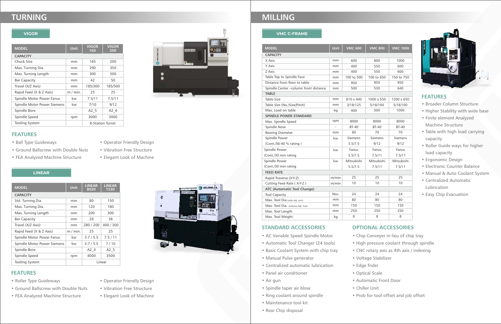#### **VMC C-FRAME**

## **FEATURES**

- Broader Column Structure
- Higher Stability with wide base
- Finite element Analyzed Machine Structure
- Table with high load carrying capacity
- Roller Guide ways for higher load capacity
- Ergonomic Design
- Electronic Counter Balance
- Manual & Auto Coolant System
- Centralized Automatic Lubrication
- Easy Chip Evacuation

#### **STANDARD ACCESSORIES**

- AC Variable Speed Spindle Motor
- Automatic Tool Changer (24 tools)
- Basic Coolant System with chip tray
- Manual Pulse generator
- Centralized automatic lubrication
- Panel air conditioner
- Air gun
- Spindle taper air blow
- Ring coolant around spindle
- Maintenance tool kit
- Rear Chip disposal

## **OPTIONAL ACCESSORIES**

- 
- High pressure coolant through spindle
- -
- Edge fnder
	-
- Chiller Unit
- 
- 
- Chip Conveyer in lieu of chip tray
- CNC rotary axis as 4th axis / indexing
- Voltage Stabilizer
	-
- Optical Scale
- Automatic Front Door
	-
- Prob for tool offset and job offset



#### **LINEAR**

## **FEATURES**

- Roller Type Guideways
- Ground Ballscrew with Double Nuts
- FEA Analyzed Machine Structure



### **FEATURES**

# **TURNING MILLING**

#### **VIGOR**

- Ball Type Guideways
- Ground Ballscrew with Double Nuts
- Vibration Free Structure
- FEA Analyzed Machine Structure
- Elegant Look of Machine

• Operator Friendly Design

- Operator Friendly Design
- Vibration Free Structure
- Elegant Look of Machine

| <b>MODEL</b>                | Unit        | <b>LINEAR</b><br>8020 | <b>LINEAR</b><br>1530 |
|-----------------------------|-------------|-----------------------|-----------------------|
| <b>CAPACITY</b>             |             |                       |                       |
| Std. Turning Dia            | mm          | 80                    | 150                   |
| Max. Turning Dia.           | mm          | 120                   | 180                   |
| Max. Turning Length         | mm          | 200                   | 300                   |
| <b>Bar Capacity</b>         | mm          | 28                    | 38                    |
| Travel (X/Z Axis)           | mm          | 280 / 200             | 400 / 300             |
| Rapid Feed (X & Z Axis)     | $m / min$ . | 25                    | 25                    |
| Spindle Motor Power Fanuc   | kw          | 3.7/5.5               | 7.5/11                |
| Spindle Motor Power Siemens | kw          | 3.7/5.5               | 7/10                  |
| Spindle Bore                |             | A2 4                  | A2 5                  |
| Spindle Speed               | rpm         | 4000                  | 3500                  |
| <b>Tooling System</b>       |             |                       | Linear                |

| <b>MODEL</b>                | Unit        | <b>VIGOR</b><br>160 | <b>VIGOR</b><br>200 |
|-----------------------------|-------------|---------------------|---------------------|
| <b>CAPACITY</b>             |             |                     |                     |
| Chuck Size                  | mm          | 165                 | 200                 |
| Max. Turning Dia.           | mm          | 290                 | 350                 |
| Max. Turning Length         | mm          | 300                 | 500                 |
| <b>Bar Capacity</b>         | mm          | 42                  | 50                  |
| Travel (X/Z Axis)           | mm          | 185/300             | 185/500             |
| Rapid Feed (X & Z Axis)     | $m / min$ . | 25                  | 25                  |
| Spindle Motor Power Fanuc   | kw          | 7.5/11              | 7.5/11              |
| Spindle Motor Power Siemens | kw          | 7/10                | 9/12                |
| Spindle Bore                |             | A2 5                | A2 6                |
| Spindle Speed               | rpm         | 3000                | 3000                |
| <b>Tooling System</b>       |             |                     | 8-Station Turret    |



| <b>MODEL</b>                         | <b>Unit</b> | <b>VMC 600</b> | <b>VMC 800</b> | <b>VMC 1000</b> |  |  |
|--------------------------------------|-------------|----------------|----------------|-----------------|--|--|
| <b>CAPACITY</b>                      |             |                |                |                 |  |  |
| X Axis                               | mm          | 600            | 800            | 1000            |  |  |
| Y Axis                               | mm          | 400            | 550            | 600             |  |  |
| Z Axis                               | mm          | 400            | 550            | 600             |  |  |
| Table Top to Spindle Face            | mm          | 100 to 500     | 100 to 650     | 150 to 750      |  |  |
| Distance from floor to table         | mm          | 950            | 950            | 950             |  |  |
| Spindle Center-column front distance | mm          | 500            | 530            | 640             |  |  |
| <b>TABLE</b>                         |             |                |                |                 |  |  |
| Table Size                           | mm          | 810 x 440      | 1000 x 550     | 1200 x 650      |  |  |
| Table Slot (No./Size/Pitch)          | mm          | 3/18/125       | 5/18/100       | 5/18/100        |  |  |
| Max. Load on table                   | kg          | 400            | 500            | 1000            |  |  |
| <b>SPINDLE POWER STANDARD</b>        |             |                |                |                 |  |  |
| Max. Spindle Speed                   | rpm         | 8000           | 8000           | 8000            |  |  |
| <b>Spindle Nose</b>                  |             | <b>BT-40</b>   | <b>BT-40</b>   | <b>BT-40</b>    |  |  |
| <b>Bearing Diameter</b>              | mm          | 60             | 70             | 70              |  |  |
| Spindle Power                        | kw          | <b>Siemens</b> | <b>Siemens</b> | <b>Siemens</b>  |  |  |
| (Cont./S6-40 % rating)               |             | 5.5/7.5        | 9/12           | 9/12            |  |  |
| Spindle Power                        | kw          | Fanuc          | Fanuc          | Fanuc           |  |  |
| (Cont./30 min rating                 |             | 5.5/7.5        | 7.5/11         | 7.5/11          |  |  |
| Spindle Power                        | kw          | Mitsubishi     | Mitsubishi     | Mitsubishi      |  |  |
| (Cont./30 min rating                 |             | 5.5/7.5        | 7.5/11         | 7.5/11          |  |  |
| <b>FEED RATE</b>                     |             |                |                |                 |  |  |
| Rapid Traverse (X-Y-Z)               | m/min       | 25             | 25             | 25              |  |  |
| Cutting Feed Rate (X-Y-Z)            | m/min       | 10             | 10             | 10              |  |  |
| <b>ATC (Automatic Tool Change)</b>   |             |                |                |                 |  |  |
| <b>Tool Capacity</b>                 | Nos.        | 24             | 24             | 24              |  |  |
| Max. Tool Dia. (with Adj. tool)      | mm          | 80             | 80             | 80              |  |  |
| Max. Tool Dia. (without Adj. Tool)   | mm          | 150            | 150            | 150             |  |  |
| Max. Tool Length                     | mm          | 250            | 250            | 250             |  |  |
| Max. Tool Weight                     | kg          | 8              | 8              | 8               |  |  |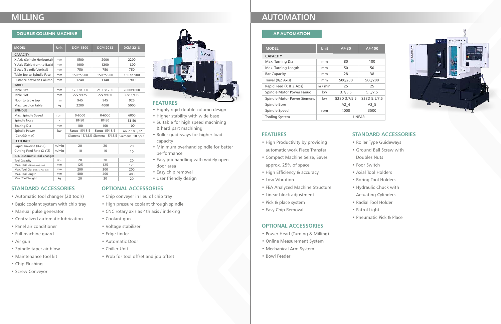#### **AF AUTOMATION**

## **FEATURES**

- High Productivity by providing automatic work Piece Transfer
- Compact Machine Seize, Saves approx. 25% of space
- High Efficiency & accuracy
- Low Vibration
- FEA Analyzed Machine Structure
- Linear block adjustment
- Pick & place system
- Easy Chip Removal

# **STANDARD ACCESSORIES**

- 
- Ground Ball Screw with
	- Doubles Nuts



- Roller Type Guideways
- 
- 
- 
- 
- 
- 
- 
- Radial Tool Holder
- - Pneumatic Pick & Place

- 
- 
- 
- 
- 
- Foor Switch
- Axial Tool Holders
- Boring Tool Holders
- Hydraulic Chuck with
- Actuating Cylinders
- Patrol Light

## **OPTIONAL ACCESSORIES**

- Power Head (Turning & Milling)
- Online Measurement System
- Mechanical Arm System
- Bowl Feeder

| <b>MODEL</b>                | <b>Unit</b> | <b>AF-80</b>  | <b>AF-100</b> |  |
|-----------------------------|-------------|---------------|---------------|--|
| <b>CAPACITY</b>             |             |               |               |  |
| Max. Turning Dia            | mm          | 80            | 100           |  |
| Max. Turning Length         | mm          | 50            | 50            |  |
| <b>Bar Capacity</b>         | mm          | 28            | 38            |  |
| Travel (X/Z Axis)           | mm          | 500/200       | 500/200       |  |
| Rapid Feed (X & Z Axis)     | $m / min$ . | 25            | 25            |  |
| Spindle Motor Power Fanuc   | kw          | 3.7/5.5       | 5.5/7.5       |  |
| Spindle Motor Power Siemens | kw          | 828D 3.7/5.5  | 828D 5.5/7.5  |  |
| Spindle Bore                |             | A2 4          | A2 5          |  |
| Spindle Speed               | rpm         | 4000          | 3500          |  |
| <b>Tooling System</b>       |             | <b>IINFAR</b> |               |  |

### **DOUBLE COLUMN MACHINE**

### **FEATURES**

- Highly rigid double column design
- Higher stability with wide base
- Suitable for high speed machining & hard part machining
- Roller guideways for higher load capacity
- Minimum overhand spindle for better performance
- Easy job handling with widely open door area
- Easy chip removal
- User friendly design

## **STANDARD ACCESSORIES**

- Automatic tool changer (20 tools)
- Basic coolant system with chip tray
- Manual pulse generator
- Centralized automatic lubrication
- Panel air conditioner
- Full machine guard
- Air gun
- Spindle taper air blow
- Maintenance tool kit
- Chip Flushing
- Screw Conveyor

# **OPTIONAL ACCESSORIES**

- Chip conveyer in lieu of chip tray
- High pressure coolant through spindle
- CNC rotary axis as 4th axis / indexing
- Coolant gun
- Voltage stabilizer
- Edge finder
- Automatic Door
- Chiller Unit
- Prob for tool offset and job offset

# **MILLING AUTOMATION**

| <b>MODEL</b>                       | <b>Unit</b> | <b>DCM 1500</b> | <b>DCM 2012</b>                 | <b>DCM 2218</b> |  |  |
|------------------------------------|-------------|-----------------|---------------------------------|-----------------|--|--|
| <b>CAPACITY</b>                    |             |                 |                                 |                 |  |  |
| X Axis (Spindle Horizontal)        | mm          | 1500            | 2000                            | 2200            |  |  |
| Y Axis (Table front to Back)       | mm          | 1000            | 1200                            | 1800            |  |  |
| Z Axis (Spindle Vertical)          | mm          | 750             | 750                             | 750             |  |  |
| Table Top to Spindle Face          | mm          | 150 to 900      | 150 to 900                      | 150 to 900      |  |  |
| Distance between Column            | mm          | 1240            | 1340                            | 1900            |  |  |
| <b>TABLE</b>                       |             |                 |                                 |                 |  |  |
| <b>Table Size</b>                  | mm          | 1700x1000       | 2100x1200                       | 2000x1600       |  |  |
| Table Slot                         | mm          | 22x7x125        | 22x7x160                        | 22/11/125       |  |  |
| Floor to table top                 | mm          | 945             | 945                             | 925             |  |  |
| Max. Load on table                 | kg          | 2200            | 4000                            | 5000            |  |  |
| <b>SPINDLE</b>                     |             |                 |                                 |                 |  |  |
| Max. Spindle Speed                 | rpm         | $0 - 6000$      | $0 - 6000$                      | 6000            |  |  |
| <b>Spindle Nose</b>                |             | <b>BT-50</b>    | <b>BT-50</b>                    | <b>BT-50</b>    |  |  |
| Bearing Dia                        | mm          | 100             | 100                             | 100             |  |  |
| Spindle Power                      | kw          | Fanuc 15/18.5   | Fanuc 15/18.5                   | Fanuc 18.5/22   |  |  |
| (Con./30 min)                      |             |                 | Siemens 15/18.5 Siemens 15/18.5 | Siemens 18.5/22 |  |  |
| <b>FEED RATE</b>                   |             |                 |                                 |                 |  |  |
| Rapid Traverse (X-Y-Z)             | m/min       | 20              | 20                              | 20              |  |  |
| Cutting Feed Rate (X-Y-Z)          | m/min       | 10              | 10                              | 10              |  |  |
| ATC (Automatic Tool Change)        |             |                 |                                 |                 |  |  |
| <b>Tool Capacity</b>               | Nos.        | 20              | 20                              | 20              |  |  |
| Max. Tool Dia.(with Adj. tool)     | mm          | 125             | 125                             | 125             |  |  |
| Max. Tool Dia. (without Adj. Tool) | mm          | 200             | 200                             | 200             |  |  |
| Max. Tool Length                   | mm          | 400             | 400                             | 400             |  |  |
| Max. Tool Weight                   | kg          | 20              | 20                              | 20              |  |  |
|                                    |             |                 |                                 |                 |  |  |

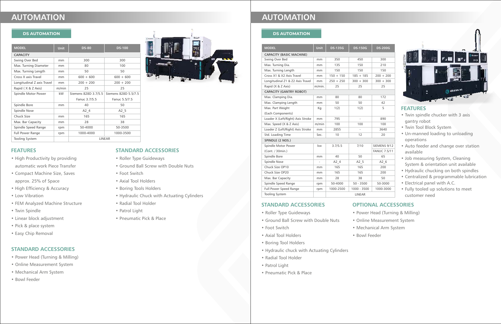#### **DS AUTOMATION**

#### **FEATURES**

- High Productivity by providing automatic work Piece Transfer
- Compact Machine Size, Saves approx. 25% of Space
- High Efficiency & Accuracy
- Low Vibration
- FEM Analyzed Machine Structure
- Twin Spindle
- Linear block adjustment
- Pick & place system
- Easy Chip Removal

## **STANDARD ACCESSORIES**

- Roller Type Guideways
- Ground Ball Screw with Double Nuts
- Foot Switch
- Axial Tool Holders
- Boring Tools Holders
- Hydraulic Chuck with Actuating Cylinders
- Radial Tool Holder
- Patrol Light
- Pneumatic Pick & Place

#### **STANDARD ACCESSORIES**

- Power Head (Turning & Milling)
- Online Measurement System
- Mechanical Arm System
- Bowl Feeder

#### **DS AUTOMATION**

## **FEATURES**

- Twin spindle chucker with 3 axis gantry robot
- Twin Tool Block System
- Un-manned loading to unloading operations
- Auto feeder and change over station available
- Job measuring System, Cleaning System & orientation unit available
- Hydraulic chucking on both spindles
- Centralized & programmable lubrication
- Electrical panel with A.C.
- Fully tooled up solutions to meet customer need

#### **STANDARD ACCESSORIES**

- Roller Type Guideways
- Ground Ball Screw with Double Nuts
- Foot Switch
- Axial Tool Holders
- Boring Tool Holders
- Hydraulic chuck with Actuating Cylinders
- Radial Tool Holder
- Patrol Light
- Pneumatic Pick & Place

# **OPTIONAL ACCESSORIES**

- Power Head (Turning & Milling)
- 
- 
- 
- 
- 
- 
- 



- Online Measurement System
- Mechanical Arm System
- Bowl Feeder

# **AUTOMATION AUTOMATION**

| <b>MODEL</b>                      | Unit   | <b>DS-135G</b> | <b>DS-150G</b>           | <b>DS-200G</b>      |  |
|-----------------------------------|--------|----------------|--------------------------|---------------------|--|
| <b>CAPACITY (BASIC MACHINE)</b>   |        |                |                          |                     |  |
| Swing Over Bed                    | mm     | 350            | 450                      | 300                 |  |
| Max. Turning Dia.                 | mm     | 135            | 150                      | 210                 |  |
| Max. Turning Length               | mm     | 150            | 150                      | 150                 |  |
| Cross X1 & X2 Axis Travel         | mm     | $150 + 150$    | $185 + 185$              | $200 + 200$         |  |
| Longitudinal Z1 & Z2 Axis Travel  | mm     | $250 + 250$    | $300 + 300$              | $300 + 300$         |  |
| Rapid (X & Z Axis)                | m/min. | 25             | 25                       | 25                  |  |
| <b>CAPACITY (GANTRY ROBOT)</b>    |        |                |                          |                     |  |
| Max. Clamping Dia.                | mm     | 80             | 80                       | 172                 |  |
| Max. Clamping Length              | mm     | 50             | 50                       | 42                  |  |
| Max. Part Weight                  | Kg     | 1(2)           | 1(2)                     | 5                   |  |
| (Each Components)                 |        |                |                          |                     |  |
| Loader X (Left/Right) Axis Stroke | mm     | 795            | $\frac{1}{2}$            | 890                 |  |
| Max. Speed (X & Z Axis)           | m/min  | 100            | 100                      | 100                 |  |
| Loader Z (Left/Right) Axis Stroke | mm     | 2855           | $\overline{\phantom{a}}$ | 3640                |  |
| Std. Loading Time                 | Sec.   | 10             | 12                       | 20                  |  |
| <b>SPINDLE (2 NOS.)</b>           |        |                |                          |                     |  |
| Spindle Motor Power               | kw     | 3.7/5.5        | 7/10                     | SIEMENS 9/12        |  |
| (Cont. / 30min.)                  |        |                |                          | <b>FANUC 7.5/11</b> |  |
| Spindle Bore                      | mm     | 40             | 50                       | 65                  |  |
| <b>Spindle Nose</b>               |        | A2 4           | A2 5                     | A2 6                |  |
| Chuck Size OP10                   | mm     | 165            | 165                      | 200                 |  |
| Chuck Size OP20                   | mm     | 165            | 165                      | 200                 |  |
| Max. Bar Capacity                 | mm     | 28             | 38                       | 50                  |  |
| Spindle Speed Range               | rpm    | 50-4000        | $50 - 3500$              | 50-3000             |  |
| Full Power Speed Range            | rpm    | 1000-2500      | 1000 - 3500              | 1000-3000           |  |
| <b>Tooling System</b>             |        | LINEAR         |                          |                     |  |



| <b>MODEL</b>               | <b>Unit</b> | <b>DS-80</b>         | <b>DS-100</b>        |  |  |
|----------------------------|-------------|----------------------|----------------------|--|--|
| <b>CAPACITY</b>            |             |                      |                      |  |  |
| Swing Over Bed             | mm          | 300                  | 300                  |  |  |
| Max. Turning Diameter      | mm          | 80                   | 100                  |  |  |
| Max. Turning Length        | mm          | 50                   | 50                   |  |  |
| Cross X axis Travel        | mm          | $600 + 600$          | $600 + 600$          |  |  |
| Longitudinal Z axis Travel | mm          | $200 + 200$          | $200 + 200$          |  |  |
| Rapid (X & Z Axis)         | m/min       | 25                   | 25                   |  |  |
| Spindle Motor Power        | kW          | Siemens 828D 3.7/5.5 | Siemens 828D 5.5/7.5 |  |  |
|                            |             | Fanuc 3.7/5.5        | Fanuc 5.5/7.5        |  |  |
| Spindle Bore               | mm          | 40                   | 50                   |  |  |
| <b>Spindle Nose</b>        |             | A2 4                 | A2 5                 |  |  |
| Chuck Size                 | mm          | 165                  | 165                  |  |  |
| Max. Bar Capacity          | mm          | 28                   | 38                   |  |  |
| Spindle Speed Range        | rpm         | 50-4000              | 50-3500              |  |  |
| <b>Full Power Range</b>    | rpm         | 1000-4000            | 1000-3500            |  |  |
| <b>Tooling System</b>      |             | <b>LINEAR</b>        |                      |  |  |